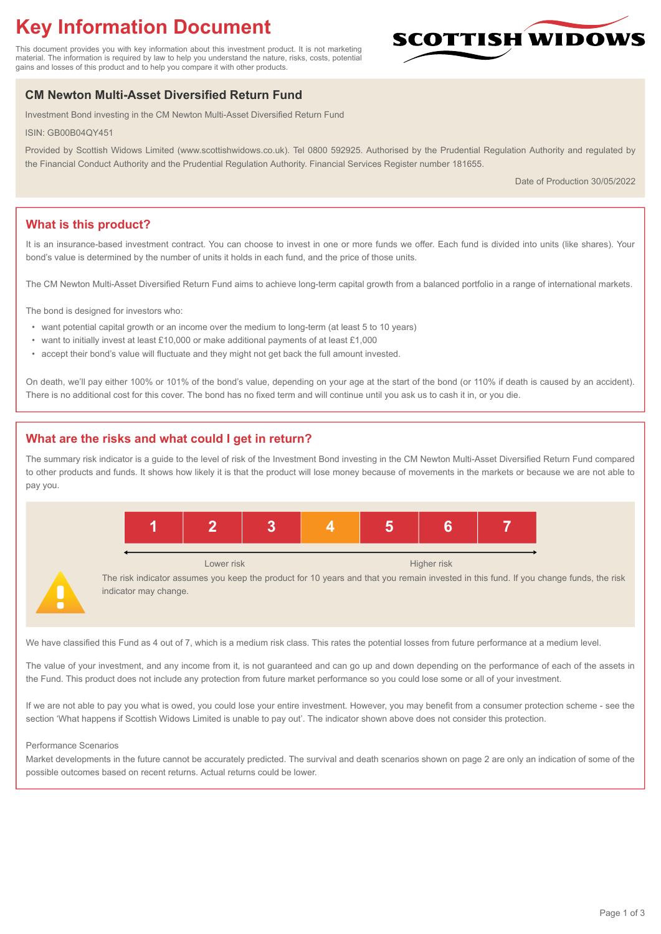# **Key Information Document**

This document provides you with key information about this investment product. It is not marketing material. The information is required by law to help you understand the nature, risks, costs, potential gains and losses of this product and to help you compare it with other products.

## **CM Newton Multi-Asset Diversified Return Fund**

Investment Bond investing in the CM Newton Multi-Asset Diversified Return Fund

ISIN: GB00B04QY451

Provided by Scottish Widows Limited (www.scottishwidows.co.uk). Tel 0800 592925. Authorised by the Prudential Regulation Authority and regulated by the Financial Conduct Authority and the Prudential Regulation Authority. Financial Services Register number 181655.

Date of Production 30/05/2022

**SCOTTISH WIDOW** 

## **What is this product?**

It is an insurance-based investment contract. You can choose to invest in one or more funds we offer. Each fund is divided into units (like shares). Your bond's value is determined by the number of units it holds in each fund, and the price of those units.

The CM Newton Multi-Asset Diversified Return Fund aims to achieve long-term capital growth from a balanced portfolio in a range of international markets.

The bond is designed for investors who:

- want potential capital growth or an income over the medium to long-term (at least 5 to 10 years)
- want to initially invest at least £10,000 or make additional payments of at least £1,000
- accept their bond's value will fluctuate and they might not get back the full amount invested.

On death, we'll pay either 100% or 101% of the bond's value, depending on your age at the start of the bond (or 110% if death is caused by an accident). There is no additional cost for this cover. The bond has no fixed term and will continue until you ask us to cash it in, or you die.

## **What are the risks and what could I get in return?**

The summary risk indicator is a guide to the level of risk of the Investment Bond investing in the CM Newton Multi-Asset Diversified Return Fund compared to other products and funds. It shows how likely it is that the product will lose money because of movements in the markets or because we are not able to pay you.



We have classified this Fund as 4 out of 7, which is a medium risk class. This rates the potential losses from future performance at a medium level.

The value of your investment, and any income from it, is not guaranteed and can go up and down depending on the performance of each of the assets in the Fund. This product does not include any protection from future market performance so you could lose some or all of your investment.

If we are not able to pay you what is owed, you could lose your entire investment. However, you may benefit from a consumer protection scheme - see the section 'What happens if Scottish Widows Limited is unable to pay out'. The indicator shown above does not consider this protection.

#### Performance Scenarios

Market developments in the future cannot be accurately predicted. The survival and death scenarios shown on page 2 are only an indication of some of the possible outcomes based on recent returns. Actual returns could be lower.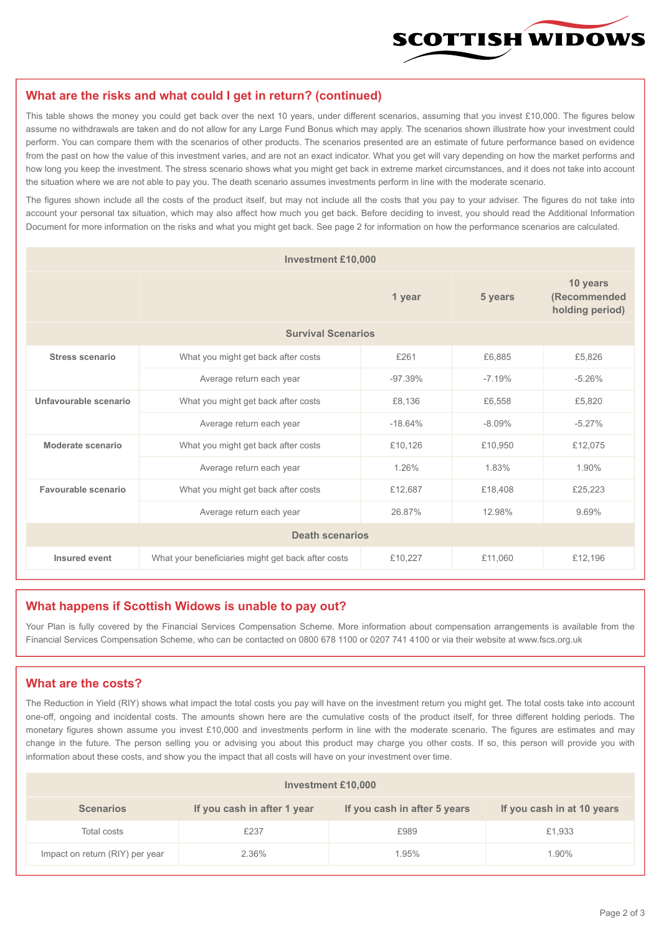

#### **What are the risks and what could I get in return? (continued)**

This table shows the money you could get back over the next 10 years, under different scenarios, assuming that you invest £10,000. The figures below assume no withdrawals are taken and do not allow for any Large Fund Bonus which may apply. The scenarios shown illustrate how your investment could perform. You can compare them with the scenarios of other products. The scenarios presented are an estimate of future performance based on evidence from the past on how the value of this investment varies, and are not an exact indicator. What you get will vary depending on how the market performs and how long you keep the investment. The stress scenario shows what you might get back in extreme market circumstances, and it does not take into account the situation where we are not able to pay you. The death scenario assumes investments perform in line with the moderate scenario.

The figures shown include all the costs of the product itself, but may not include all the costs that you pay to your adviser. The figures do not take into account your personal tax situation, which may also affect how much you get back. Before deciding to invest, you should read the Additional Information Document for more information on the risks and what you might get back. See page 2 for information on how the performance scenarios are calculated.

| <b>Investment £10,000</b> |                                                    |           |          |                                             |  |  |
|---------------------------|----------------------------------------------------|-----------|----------|---------------------------------------------|--|--|
|                           | 1 year                                             |           | 5 years  | 10 years<br>(Recommended<br>holding period) |  |  |
| <b>Survival Scenarios</b> |                                                    |           |          |                                             |  |  |
| <b>Stress scenario</b>    | £261<br>What you might get back after costs        |           | £6,885   | £5,826                                      |  |  |
|                           | Average return each year<br>$-97.39%$              |           | $-7.19%$ | $-5.26%$                                    |  |  |
| Unfavourable scenario     | What you might get back after costs<br>£8,136      |           | £6,558   | £5,820                                      |  |  |
|                           | Average return each year                           | $-18.64%$ | $-8.09%$ | $-5.27%$                                    |  |  |
| Moderate scenario         | What you might get back after costs                | £10,126   | £10,950  | £12,075                                     |  |  |
|                           | Average return each year                           | 1.26%     | 1.83%    | 1.90%                                       |  |  |
| Favourable scenario       | What you might get back after costs                | £12,687   | £18,408  | £25,223                                     |  |  |
| Average return each year  |                                                    | 26.87%    | 12.98%   | 9.69%                                       |  |  |
| <b>Death scenarios</b>    |                                                    |           |          |                                             |  |  |
| Insured event             | What your beneficiaries might get back after costs | £10,227   | £11.060  | £12,196                                     |  |  |

#### **What happens if Scottish Widows is unable to pay out?**

Your Plan is fully covered by the Financial Services Compensation Scheme. More information about compensation arrangements is available from the Financial Services Compensation Scheme, who can be contacted on 0800 678 1100 or 0207 741 4100 or via their website at www.fscs.org.uk

#### **What are the costs?**

The Reduction in Yield (RIY) shows what impact the total costs you pay will have on the investment return you might get. The total costs take into account one-off, ongoing and incidental costs. The amounts shown here are the cumulative costs of the product itself, for three different holding periods. The monetary figures shown assume you invest £10,000 and investments perform in line with the moderate scenario. The figures are estimates and may change in the future. The person selling you or advising you about this product may charge you other costs. If so, this person will provide you with information about these costs, and show you the impact that all costs will have on your investment over time.

| Investment £10,000              |                             |                              |                            |  |  |  |
|---------------------------------|-----------------------------|------------------------------|----------------------------|--|--|--|
| <b>Scenarios</b>                | If you cash in after 1 year | If you cash in after 5 years | If you cash in at 10 years |  |  |  |
| Total costs                     | £237                        | £989                         | £1,933                     |  |  |  |
| Impact on return (RIY) per year | 2.36%                       | 1.95%                        | l.90%                      |  |  |  |